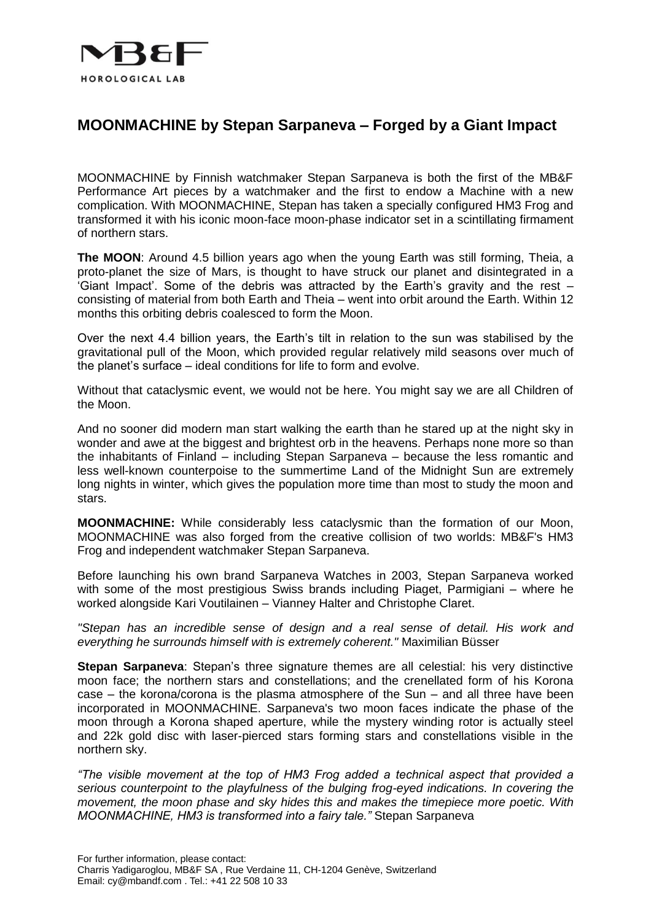

## **MOONMACHINE by Stepan Sarpaneva – Forged by a Giant Impact**

MOONMACHINE by Finnish watchmaker Stepan Sarpaneva is both the first of the MB&F Performance Art pieces by a watchmaker and the first to endow a Machine with a new complication. With MOONMACHINE, Stepan has taken a specially configured HM3 Frog and transformed it with his iconic moon-face moon-phase indicator set in a scintillating firmament of northern stars.

**The MOON**: Around 4.5 billion years ago when the young Earth was still forming, Theia, a proto-planet the size of Mars, is thought to have struck our planet and disintegrated in a 'Giant Impact'. Some of the debris was attracted by the Earth's gravity and the rest – consisting of material from both Earth and Theia – went into orbit around the Earth. Within 12 months this orbiting debris coalesced to form the Moon.

Over the next 4.4 billion years, the Earth's tilt in relation to the sun was stabilised by the gravitational pull of the Moon, which provided regular relatively mild seasons over much of the planet's surface – ideal conditions for life to form and evolve.

Without that cataclysmic event, we would not be here. You might say we are all Children of the Moon.

And no sooner did modern man start walking the earth than he stared up at the night sky in wonder and awe at the biggest and brightest orb in the heavens. Perhaps none more so than the inhabitants of Finland – including Stepan Sarpaneva – because the less romantic and less well-known counterpoise to the summertime Land of the Midnight Sun are extremely long nights in winter, which gives the population more time than most to study the moon and stars.

**MOONMACHINE:** While considerably less cataclysmic than the formation of our Moon, MOONMACHINE was also forged from the creative collision of two worlds: MB&F's HM3 Frog and independent watchmaker Stepan Sarpaneva.

Before launching his own brand Sarpaneva Watches in 2003, Stepan Sarpaneva worked with some of the most prestigious Swiss brands including Piaget, Parmigiani – where he worked alongside Kari Voutilainen – Vianney Halter and Christophe Claret.

*"Stepan has an incredible sense of design and a real sense of detail. His work and everything he surrounds himself with is extremely coherent."* Maximilian Büsser

**Stepan Sarpaneva**: Stepan's three signature themes are all celestial: his very distinctive moon face; the northern stars and constellations; and the crenellated form of his Korona case – the korona/corona is the plasma atmosphere of the Sun – and all three have been incorporated in MOONMACHINE. Sarpaneva's two moon faces indicate the phase of the moon through a Korona shaped aperture, while the mystery winding rotor is actually steel and 22k gold disc with laser-pierced stars forming stars and constellations visible in the northern sky.

*"The visible movement at the top of HM3 Frog added a technical aspect that provided a serious counterpoint to the playfulness of the bulging frog-eyed indications. In covering the movement, the moon phase and sky hides this and makes the timepiece more poetic. With MOONMACHINE, HM3 is transformed into a fairy tale."* Stepan Sarpaneva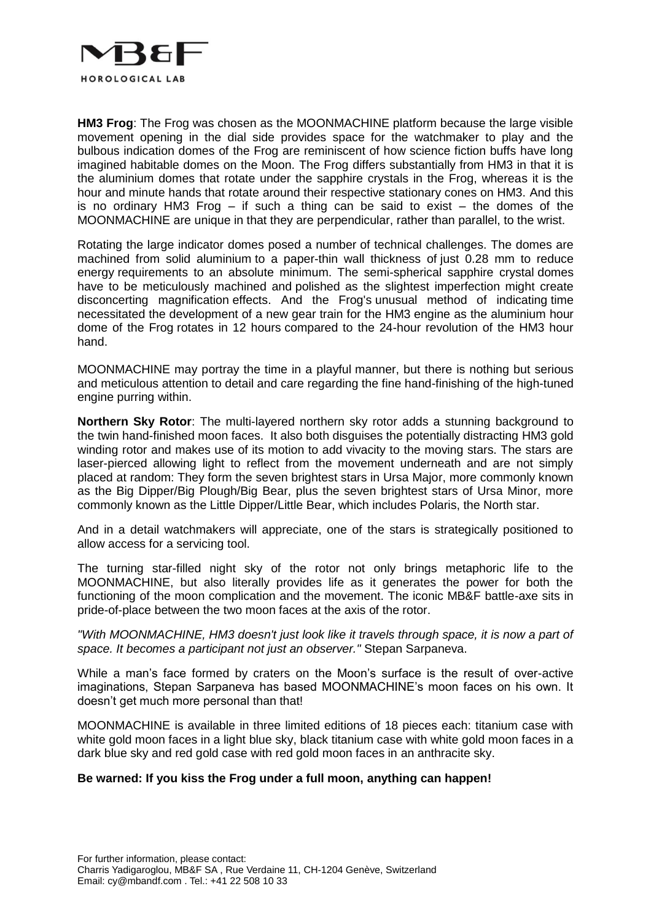

**HM3 Frog**: The Frog was chosen as the MOONMACHINE platform because the large visible movement opening in the dial side provides space for the watchmaker to play and the bulbous indication domes of the Frog are reminiscent of how science fiction buffs have long imagined habitable domes on the Moon. The Frog differs substantially from HM3 in that it is the aluminium domes that rotate under the sapphire crystals in the Frog, whereas it is the hour and minute hands that rotate around their respective stationary cones on HM3. And this is no ordinary HM3 Frog – if such a thing can be said to exist – the domes of the MOONMACHINE are unique in that they are perpendicular, rather than parallel, to the wrist.

Rotating the large indicator domes posed a number of technical challenges. The domes are machined from solid aluminium to a paper-thin wall thickness of just 0.28 mm to reduce energy requirements to an absolute minimum. The semi-spherical sapphire crystal domes have to be meticulously machined and polished as the slightest imperfection might create disconcerting magnification effects. And the Frog's unusual method of indicating time necessitated the development of a new gear train for the HM3 engine as the aluminium hour dome of the Frog rotates in 12 hours compared to the 24-hour revolution of the HM3 hour hand.

MOONMACHINE may portray the time in a playful manner, but there is nothing but serious and meticulous attention to detail and care regarding the fine hand-finishing of the high-tuned engine purring within.

**Northern Sky Rotor**: The multi-layered northern sky rotor adds a stunning background to the twin hand-finished moon faces. It also both disguises the potentially distracting HM3 gold winding rotor and makes use of its motion to add vivacity to the moving stars. The stars are laser-pierced allowing light to reflect from the movement underneath and are not simply placed at random: They form the seven brightest stars in Ursa Major, more commonly known as the Big Dipper/Big Plough/Big Bear, plus the seven brightest stars of Ursa Minor, more commonly known as the Little Dipper/Little Bear, which includes Polaris, the North star.

And in a detail watchmakers will appreciate, one of the stars is strategically positioned to allow access for a servicing tool.

The turning star-filled night sky of the rotor not only brings metaphoric life to the MOONMACHINE, but also literally provides life as it generates the power for both the functioning of the moon complication and the movement. The iconic MB&F battle-axe sits in pride-of-place between the two moon faces at the axis of the rotor.

*"With MOONMACHINE, HM3 doesn't just look like it travels through space, it is now a part of space. It becomes a participant not just an observer."* Stepan Sarpaneva.

While a man's face formed by craters on the Moon's surface is the result of over-active imaginations, Stepan Sarpaneva has based MOONMACHINE's moon faces on his own. It doesn't get much more personal than that!

MOONMACHINE is available in three limited editions of 18 pieces each: titanium case with white gold moon faces in a light blue sky, black titanium case with white gold moon faces in a dark blue sky and red gold case with red gold moon faces in an anthracite sky.

### **Be warned: If you kiss the Frog under a full moon, anything can happen!**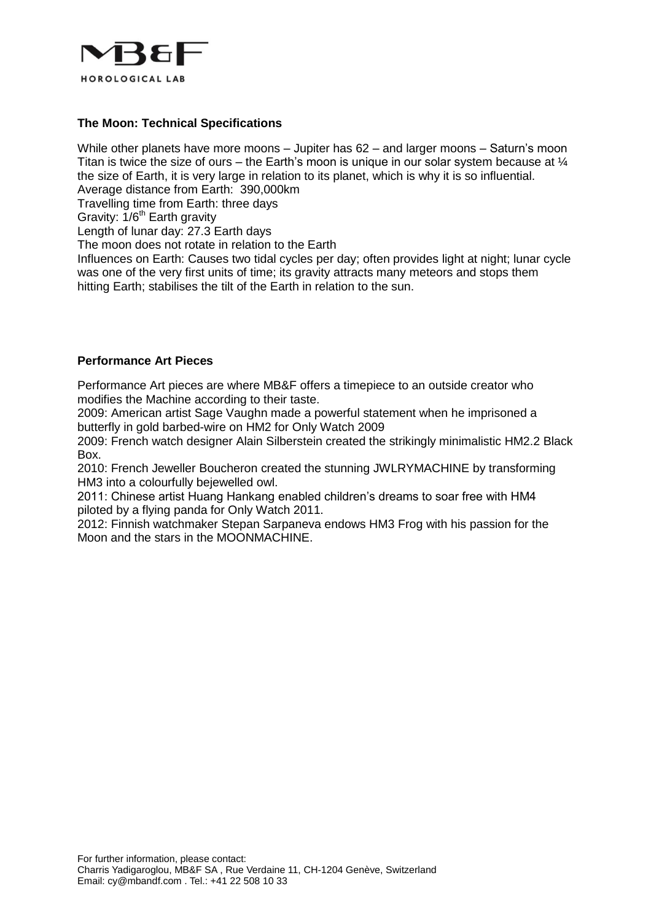

## **The Moon: Technical Specifications**

While other planets have more moons – Jupiter has 62 – and larger moons – Saturn's moon Titan is twice the size of ours – the Earth's moon is unique in our solar system because at  $\frac{1}{4}$ the size of Earth, it is very large in relation to its planet, which is why it is so influential. Average distance from Earth: 390,000km

Travelling time from Earth: three days

Gravity:  $1/6<sup>th</sup>$  Earth gravity

Length of lunar day: 27.3 Earth days

The moon does not rotate in relation to the Earth

Influences on Earth: Causes two tidal cycles per day; often provides light at night; lunar cycle was one of the very first units of time; its gravity attracts many meteors and stops them hitting Earth; stabilises the tilt of the Earth in relation to the sun.

#### **Performance Art Pieces**

Performance Art pieces are where MB&F offers a timepiece to an outside creator who modifies the Machine according to their taste.

2009: American artist Sage Vaughn made a powerful statement when he imprisoned a butterfly in gold barbed-wire on HM2 for Only Watch 2009

2009: French watch designer Alain Silberstein created the strikingly minimalistic HM2.2 Black Box.

2010: French Jeweller Boucheron created the stunning JWLRYMACHINE by transforming HM3 into a colourfully bejewelled owl.

2011: Chinese artist Huang Hankang enabled children's dreams to soar free with HM4 piloted by a flying panda for Only Watch 2011.

2012: Finnish watchmaker Stepan Sarpaneva endows HM3 Frog with his passion for the Moon and the stars in the MOONMACHINE.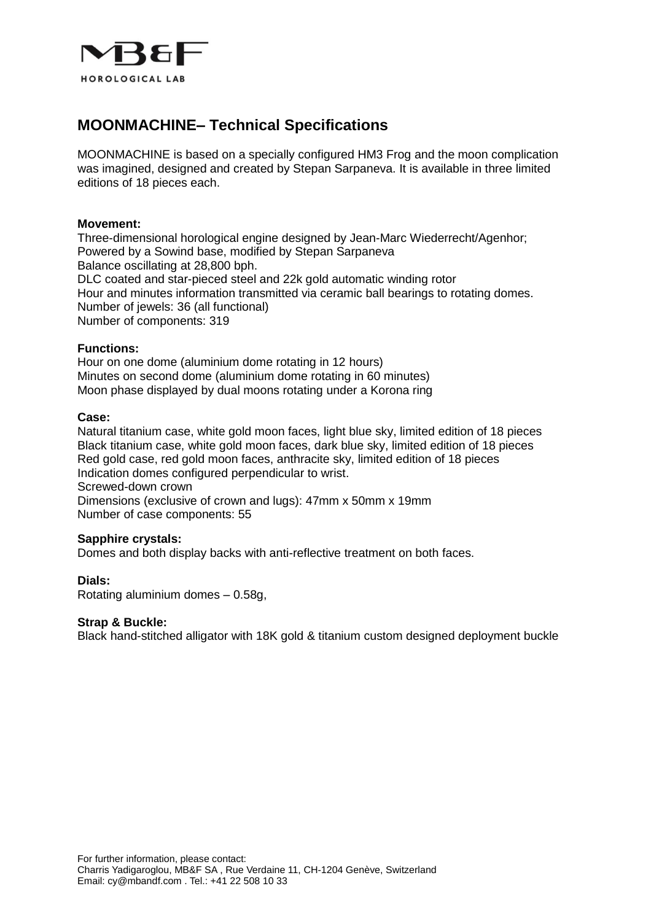

## **MOONMACHINE– Technical Specifications**

MOONMACHINE is based on a specially configured HM3 Frog and the moon complication was imagined, designed and created by Stepan Sarpaneva. It is available in three limited editions of 18 pieces each.

#### **Movement:**

Three-dimensional horological engine designed by Jean-Marc Wiederrecht/Agenhor; Powered by a Sowind base, modified by Stepan Sarpaneva Balance oscillating at 28,800 bph. DLC coated and star-pieced steel and 22k gold automatic winding rotor Hour and minutes information transmitted via ceramic ball bearings to rotating domes. Number of jewels: 36 (all functional) Number of components: 319

#### **Functions:**

Hour on one dome (aluminium dome rotating in 12 hours) Minutes on second dome (aluminium dome rotating in 60 minutes) Moon phase displayed by dual moons rotating under a Korona ring

#### **Case:**

Natural titanium case, white gold moon faces, light blue sky, limited edition of 18 pieces Black titanium case, white gold moon faces, dark blue sky, limited edition of 18 pieces Red gold case, red gold moon faces, anthracite sky, limited edition of 18 pieces Indication domes configured perpendicular to wrist. Screwed-down crown Dimensions (exclusive of crown and lugs): 47mm x 50mm x 19mm

Number of case components: 55

#### **Sapphire crystals:**

Domes and both display backs with anti-reflective treatment on both faces.

#### **Dials:**

Rotating aluminium domes – 0.58g,

### **Strap & Buckle:**

Black hand-stitched alligator with 18K gold & titanium custom designed deployment buckle